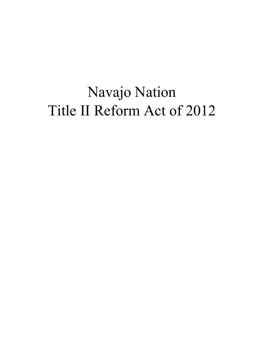# Navajo Nation Title II Reform Act of 2012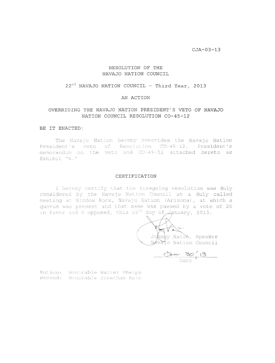$CJA-03-13$ 

#### RESOLUTION OF THE NAVAJO NATION COUNCIL

#### $22^{nd}$  NAVAJO NATION COUNCIL - Third Year, 2013

#### AN ACTION

#### OVERRIDING THE NAVAJO NATION PRESIDENT'S VETO OF NAVAJO NATION COUNCIL RESOLUTION CO-45-12

#### BE IT ENACTED:

The Navajo Nation hereby overrides the Navajo Nation President's veto of Resolution CO-45-12. President's memorandum on the veto and CO-45-12 attached hereto as Exhibit "A."

#### CERTIFICATION

I hereby certify that the foregoing resolution was duly considered by the Navajo Nation Council at a duly called meeting at Window Rock, Navajo Nation (Arizona), at which a quorum was present and that same was passed by a vote of 20 in favor and 0 opposed, this 29<sup>th</sup> day of  $\overline{J}$  anuary, 2013.

Johnny Naize, Speaker Navajo Nation Council

 $\frac{13}{13}$ Date

Motion: Honorable Walter Phelps Second: Honorable Jonathan Hale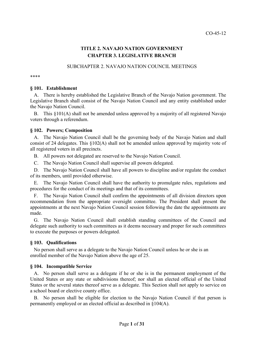## **TITLE 2. NAVAJO NATION GOVERNMENT CHAPTER 3. LEGISLATIVE BRANCH**

## SUBCHAPTER 2. NAVAJO NATION COUNCIL MEETINGS

\*\*\*\*

#### **§ 101. Establishment**

A. There is hereby established the Legislative Branch of the Navajo Nation government. The Legislative Branch shall consist of the Navajo Nation Council and any entity established under the Navajo Nation Council.

This  $§101(A)$  shall not be amended unless approved by a majority of all registered Navajo voters through a referendum.

## **§ 102. Powers; Composition**

A. The Navajo Nation Council shall be the governing body of the Navajo Nation and shall consist of 24 delegates. This §102(A) shall not be amended unless approved by majority vote of all registered voters in all precincts.

B. All powers not delegated are reserved to the Navajo Nation Council.

C. The Navajo Nation Council shall supervise all powers delegated.

D. The Navajo Nation Council shall have all powers to discipline and/or regulate the conduct of its members, until provided otherwise.

The Navajo Nation Council shall have the authority to promulgate rules, regulations and procedures for the conduct of its meetings and that of its committees.

F. The Navajo Nation Council shall confirm the appointments of all division directors upon recommendation from the appropriate oversight committee. The President shall present the appointments at the next Navajo Nation Council session following the date the appointments are made.

G. The Navajo Nation Council shall establish standing committees of the Council and delegate such authority to such committees as it deems necessary and proper for such committees to execute the purposes or powers delegated.

## **§ 103. Qualifications**

No person shall serve as a delegate to the Navajo Nation Council unless he or she is an enrolled member of the Navajo Nation above the age of 25.

## **§ 104. Incompatible Service**

A. No person shall serve as a delegate if he or she is in the permanent employment of the United States or any state or subdivisions thereof; nor shall an elected official of the United States or the several states thereof serve as a delegate. This Section shall not apply to service on a school board or elective county office.

B. No person shall be eligible for election to the Navajo Nation Council if that person is permanently employed or an elected official as described in §104(A).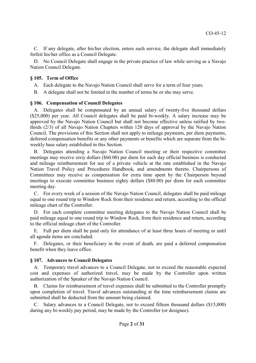C. If any delegate, after his/her election, enters such service, the delegate shall immediately forfeit his/her office as a Council Delegate.

D. No Council Delegate shall engage in the private practice of law while serving as a Navajo Nation Council Delegate.

## **§ 105. Term of Office**

A. Each delegate to the Navajo Nation Council shall serve for a term of four years.

B. A delegate shall not be limited in the number of terms he or she may serve.

## **§ 106. Compensation of Council Delegates**

A. Delegates shall be compensated by an annual salary of twenty-five thousand dollars (\$25,000) per year. All Council delegates shall be paid bi-weekly. A salary increase may be approved by the Navajo Nation Council but shall not become effective unless ratified by twothirds (2/3) of all Navajo Nation Chapters within 120 days of approval by the Navajo Nation Council. The provisions of this Section shall not apply to mileage payments, per diem payments, deferred compensation benefits or any other payments or benefits which are separate from the biweekly base salary established in this Section.

B. Delegates attending a Navajo Nation Council meeting or their respective committee meetings may receive sixty dollars (\$60.00) per diem for each day official business is conducted and mileage reimbursement for use of a private vehicle at the rate established in the Navajo Nation Travel Policy and Procedures Handbook, and amendments thereto. Chairpersons of Committees may receive as compensation for extra time spent by the Chairperson beyond meetings to execute committee business eighty dollars (\$80.00) per diem for each committee meeting day.

C. For every week of a session of the Navajo Nation Council, delegates shall be paid mileage equal to one round trip to Window Rock from their residence and return, according to the official mileage chart of the Controller.

D. For each complete committee meeting delegates to the Navajo Nation Council shall be paid mileage equal to one round trip to Window Rock, from their residence and return, according to the official mileage chart of the Controller.

E. Full per diem shall be paid only for attendance of at least three hours of meeting or until all agenda items are concluded.

F. Delegates, or their beneficiary in the event of death, are paid a deferred compensation benefit when they leave office.

## **§ 107. Advances to Council Delegates**

A. Temporary travel advances to a Council Delegate, not to exceed the reasonable expected cost and expenses of authorized travel, may be made by the Controller upon written authorization of the Speaker of the Navajo Nation Council.

B. Claims for reimbursement of travel expenses shall be submitted to the Controller promptly upon completion of travel. Travel advances outstanding at the time reimbursement claims are submitted shall be deducted from the amount being claimed.

C. Salary advances to a Council Delegate, not to exceed fifteen thousand dollars (\$15,000) during any bi-weekly pay period, may be made by the Controller (or designee).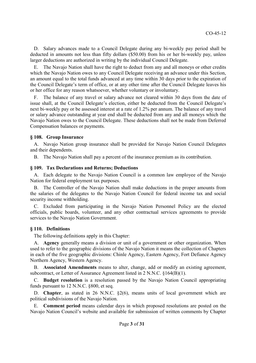D. Salary advances made to a Council Delegate during any bi-weekly pay period shall be deducted in amounts not less than fifty dollars (\$50.00) from his or her bi-weekly pay, unless larger deductions are authorized in writing by the individual Council Delegate.

E. The Navajo Nation shall have the right to deduct from any and all moneys or other credits which the Navajo Nation owes to any Council Delegate receiving an advance under this Section, an amount equal to the total funds advanced at any time within 30 days prior to the expiration of the Council Delegate's term of office, or at any other time after the Council Delegate leaves his or her office for any reason whatsoever, whether voluntary or involuntary.

F. The balance of any travel or salary advance not cleared within 30 days from the date of issue shall, at the Council Delegate's election, either be deducted from the Council Delegate's next bi-weekly pay or be assessed interest at a rate of 1.2% per annum. The balance of any travel or salary advance outstanding at year end shall be deducted from any and all moneys which the Navajo Nation owes to the Council Delegate. These deductions shall not be made from Deferred Compensation balances or payments.

## **§ 108. Group Insurance**

A. Navajo Nation group insurance shall be provided for Navajo Nation Council Delegates and their dependents.

B. The Navajo Nation shall pay a percent of the insurance premium as its contribution.

#### **§ 109. Tax Declarations and Returns; Deductions**

A. Each delegate to the Navajo Nation Council is a common law employee of the Navajo Nation for federal employment tax purposes.

The Controller of the Navajo Nation shall make deductions in the proper amounts from the salaries of the delegates to the Navajo Nation Council for federal income tax and social security income withholding.

C. Excluded from participating in the Navajo Nation Personnel Policy are the elected officials, public boards, volunteer, and any other contractual services agreements to provide services to the Navajo Nation Government.

## **§ 110. Definitions**

The following definitions apply in this Chapter:

A. **Agency** generally means a division or unit of a government or other organization. When used to refer to the geographic divisions of the Navajo Nation it means the collection of Chapters in each of the five geographic divisions: Chinle Agency, Eastern Agency, Fort Defiance Agency Northern Agency, Western Agency.

B. **Associated Amendments** means to alter, change, add or modify an existing agreement, subcontract, or Letter of Assurance Agreement listed in 2 N.N.C. §164(B)(1).

C. **Budget resolution** is a resolution passed by the Navajo Nation Council appropriating funds pursuant to 12 N.N.C. §800, et seq.

D. **Chapter**, as stated in 26 N.N.C. §2(6), means units of local government which are political subdivisions of the Navajo Nation.

E. **Comment period** means calendar days in which proposed resolutions are posted on the Navajo Nation Council's website and available for submission of written comments by Chapter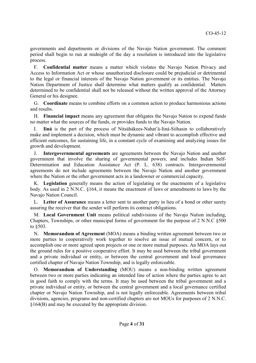governments and departments or divisions of the Navajo Nation government. The comment period shall begin to run at midnight of the day a resolution is introduced into the legislative process.

F. **Confidential matter** means a matter which violates the Navajo Nation Privacy and Access to Information Act or whose unauthorized disclosure could be prejudicial or detrimental to the legal or financial interests of the Navajo Nation government or its entities. The Navajo Nation Department of Justice shall determine what matters qualify as confidential. Matters determined to be confidential shall not be released without the written approval of the Attorney General or his designee.

G. **Coordinate** means to combine efforts on a common action to produce harmonious actions and results.

H. **Financial impact** means any agreement that obligates the Navajo Nation to expend funds no matter what the sources of the funds, or provides funds to the Navajo Nation.

I. **Iiná** is the part of the process of Nitsáhákees-Nahat'á-Iiná-Siihasin to collaboratively make and implement a decision, which must be dynamic and vibrant to accomplish effective and efficient outcomes, for sustaining life, in a constant cycle of examining and analyzing issues for growth and development.

J. **Intergovernmental agreements** are agreements between the Navajo Nation and another government that involve the sharing of governmental powers, and includes Indian Self-Determination and Education Assistance Act (P. L. 638) contracts. Intergovernmental agreements do not include agreements between the Navajo Nation and another government where the Nation or the other government acts in a landowner or commercial capacity.

K. **Legislation** generally means the action of legislating or the enactments of a legislative body. As used in 2 N.N.C. §164, it means the enactment of laws or amendments to laws by the Navajo Nation Council.

L. **Letter of Assurance** means a letter sent to another party in lieu of a bond or other surety assuring the receiver that the sender will perform its contract obligations.

M. **Local Government Unit** means political subdivisions of the Navajo Nation including, Chapters, Townships, or other municipal forms of government for the purpose of 2 N.N.C §500 to §503.

N. **Memorandum of Agreement** (MOA) means a binding written agreement between two or more parties to cooperatively work together to resolve an issue of mutual concern, or to accomplish one or more agreed upon projects or one or more mutual purposes. An MOA lays out the ground rules for a positive cooperative effort. It may be used between the tribal government and a private individual or entity, or between the central government and local governance certified chapter of Navajo Nation Township, and is legally enforceable.

O. **Memorandum of Understanding** (MOU) means a non-binding written agreement between two or more parties indicating an intended line of action where the parties agree to act in good faith to comply with the terms. It may be used between the tribal government and a private individual or entity, or between the central government and a local governance certified chapter or Navajo Nation Township, and is not legally enforceable. Agreements between tribal divisions, agencies, programs and non-certified chapters are not MOUs for purposes of 2 N.N.C. §164(B) and may be executed by the appropriate division.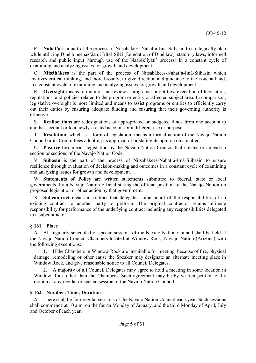P. **Nahat'á** is a part of the process of Nitsáhákees-Nahat'á-Iiná-Siihasin to strategically plan while utilizing Diné bibeehaz'áanii Bitsé Siléí (foundation of Diné law), statutory laws, informed research and public input (through use of the Naabik'íyáti' process) in a constant cycle of examining and analyzing issues for growth and development.

Q. **Nitsáhákees** is the part of the process of Nitsáhákees-Nahat'á-Iiná-Siihasin which involves critical thinking, and more broadly, to give direction and guidance to the issue at hand, in a constant cycle of examining and analyzing issues for growth and development.

R. **Oversight** means to monitor and review a programs' or entities' execution of legislation, regulations, and policies related to the program or entity or affected subject area. In comparison, legislative oversight is more limited and means to assist programs or entities to efficiently carry out their duties by ensuring adequate funding and ensuring that their governing authority is effective.

S. **Reallocations** are redesignations of appropriated or budgeted funds from one account to another account or to a newly-created account for a different use or purpose.

T. **Resolution**, which is a form of legislation, means a formal action of the Navajo Nation Council or its Committees adopting its approval of or stating its opinion on a matter.

U. **Positive law** means legislation by the Navajo Nation Council that creates or amends a section or sections of the Navajo Nation Code.

V. **Siihasin** is the part of the process of Nitsáhákees-Nahat'á-Iiná-Siihasin to ensure resilience through evaluation of decision-making and outcomes in a constant cycle of examining and analyzing issues for growth and development.

W. **Statements of Policy** are written statements submitted to federal, state or local governments, by a Navajo Nation official stating the official position of the Navajo Nation on proposed legislation or other action by that government.

X. **Subcontract** means a contract that delegates some or all of the responsibilities of an existing contract to another party to perform. The original contractor retains ultimate responsibility for performance of the underlying contract including any responsibilities delegated to a subcontractor.

## **§ 161. Place**

A. All regularly scheduled or special sessions of the Navajo Nation Council shall be held at the Navajo Nation Council Chambers located at Window Rock, Navajo Nation (Arizona) with the following exceptions:

1. If the Chambers in Window Rock are unsuitable for meeting, because of fire, physical damage, remodeling or other cause the Speaker may designate an alternate meeting place in Window Rock, and give reasonable notice to all Council Delegates.

2. A majority of all Council Delegates may agree to hold a meeting in some location in Window Rock other than the Chambers. Such agreement may be by written petition or by motion at any regular or special session of the Navajo Nation Council.

## **§ 162. Number; Time; Duration**

A. There shall be four regular sessions of the Navajo Nation Council each year. Such sessions shall commence at 10 a.m. on the fourth Monday of January, and the third Monday of April, July and October of each year.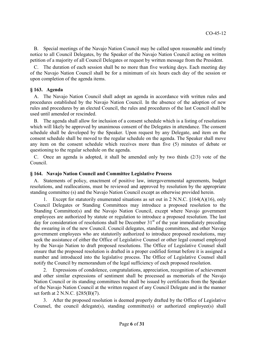B. Special meetings of the Navajo Nation Council may be called upon reasonable and timely notice to all Council Delegates, by the Speaker of the Navajo Nation Council acting on written petition of a majority of all Council Delegates or request by written message from the President.

C. The duration of each session shall be no more than five working days. Each meeting day of the Navajo Nation Council shall be for a minimum of six hours each day of the session or upon completion of the agenda items.

## **§ 163. Agenda**

A. The Navajo Nation Council shall adopt an agenda in accordance with written rules and procedures established by the Navajo Nation Council. In the absence of the adoption of new rules and procedures by an elected Council, the rules and procedures of the last Council shall be used until amended or rescinded.

B. The agenda shall allow for inclusion of a consent schedule which is a listing of resolutions which will likely be approved by unanimous consent of the Delegates in attendance. The consent schedule shall be developed by the Speaker. Upon request by any Delegate, and item on the consent schedule shall be moved to the regular schedule on the agenda. The Speaker shall move any item on the consent schedule which receives more than five (5) minutes of debate or questioning to the regular schedule on the agenda.

C. Once an agenda is adopted, it shall be amended only by two thirds (2/3) vote of the Council.

## **§ 164. Navajo Nation Council and Committee Legislative Process**

A. Statements of policy, enactment of positive law, intergovernmental agreements, budget resolutions, and reallocations, must be reviewed and approved by resolution by the appropriate standing committee (s) and the Navajo Nation Council except as otherwise provided herein.

Except for statutorily enumerated situations as set out in 2 N.N.C.  $$164(A)(16)$ , only Council Delegates or Standing Committees may introduce a proposed resolution to the Standing Committee(s) and the Navajo Nation Council, except where Navajo government employees are authorized by statute or regulation to introduce a proposed resolution. The last day for consideration of resolutions shall be December  $31<sup>st</sup>$  of the year immediately preceding the swearing in of the new Council. Council delegates, standing committees, and other Navajo government employees who are statutorily authorized to introduce proposed resolutions, may seek the assistance of either the Office of Legislative Counsel or other legal counsel employed by the Navajo Nation to draft proposed resolutions. The Office of Legislative Counsel shall ensure that the proposed resolution is drafted in a proper codified format before it is assigned a number and introduced into the legislative process. The Office of Legislative Counsel shall notify the Council by memorandum of the legal sufficiency of each proposed resolution.

2. Expressions of condolence, congratulations, appreciation, recognition of achievement and other similar expressions of sentiment shall be processed as memorials of the Navajo Nation Council or its standing committees but shall be issued by certificates from the Speaker of the Navajo Nation Council at the written request of any Council Delegate and in the manner set forth at 2 N.N.C. §285(B)(7).

3. After the proposed resolution is deemed properly drafted by the Office of Legislative Counsel, the council delegate(s), standing committee(s) or authorized employee(s) shall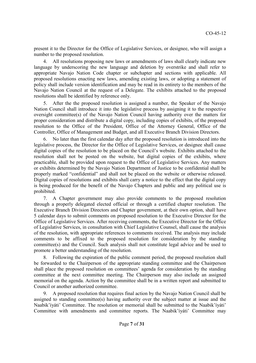present it to the Director for the Office of Legislative Services, or designee, who will assign a number to the proposed resolution.

4. All resolutions proposing new laws or amendments of laws shall clearly indicate new language by underscoring the new language and deletion by overstrike and shall refer to appropriate Navajo Nation Code chapter or subchapter and sections with applicable. All proposed resolutions enacting new laws, amending existing laws, or adopting a statement of policy shall include version identification and may be read in its entirety to the members of the Navajo Nation Council at the request of a Delegate. The exhibits attached to the proposed resolutions shall be identified by reference only.

5. After the the proposed resolution is assigned a number, the Speaker of the Navajo Nation Council shall introduce it into the legislative process by assigning it to the respective oversight committee(s) of the Navajo Nation Council having authority over the matters for proper consideration and distribute a digital copy, including copies of exhibits, of the proposed resolution to the Office of the President, Office of the Attorney General, Office of the Controller, Office of Management and Budget, and all Executive Branch Division Directors.

6. No later than the first calendar day after the proposed resolution is introduced into the legislative process, the Director for the Office of Legislative Services, or designee shall cause digital copies of the resolution to be placed on the Council's website. Exhibits attached to the resolution shall not be posted on the website, but digital copies of the exhibits, where practicable, shall be provided upon request to the Office of Legislative Services. Any matters or exhibits determined by the Navajo Nation Department of Justice to be confidential shall be properly marked "confidential" and shall not be placed on the website or otherwise released. Digital copies of resolutions and exhibits shall carry a notice to the effect that the digital copy is being produced for the benefit of the Navajo Chapters and public and any political use is prohibited.

7. A Chapter government may also provide comments to the proposed resolution through a properly delegated elected official or through a certified chapter resolution. The Executive Branch Division Directors and Chapter government, at their own option, shall have 5 calendar days to submit comments on proposed resolution to the Executive Director for the Office of Legislative Services. After receiving comments, the Executive Director for the Office of Legislative Services, in consultation with Chief Legislative Counsel, shall cause the analysis of the resolution, with appropriate references to comments received. The analysis may include comments to be affixed to the proposed resolution for consideration by the standing committee(s) and the Council. Such analysis shall not constitute legal advice and be used to promote a better understanding of the resolution.

8. Following the expiration of the public comment period, the proposed resolution shall be forwarded to the Chairperson of the appropriate standing committee and the Chairperson shall place the proposed resolution on committees' agenda for consideration by the standing committee at the next committee meeting. The Chairperson may also include an assigned memorial on the agenda. Action by the committee shall be in a written report and submitted to Council or another authorized committee.

9. A proposed resolution that requires final action by the Navajo Nation Council shall be assigned to standing committee(s) having authority over the subject matter at issue and the Naabik'íyáti' Committee. The resolution or memorial shall be submitted to the Naabik'íyáti' Committee with amendments and committee reports. The Naabik'íyáti' Committee may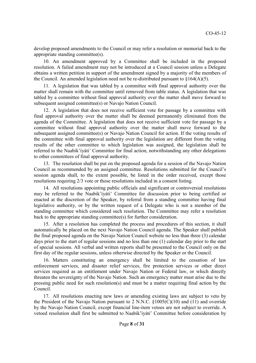develop proposed amendments to the Council or may refer a resolution or memorial back to the appropriate standing committee(s).

10. An amendment approved by a Committee shall be included in the proposed resolution. A failed amendment may not be introduced at a Council session unless a Delegate obtains a written petition in support of the amendment signed by a majority of the members of the Council. An amended legislation need not be re-distributed pursuant to  $\S164(A)(5)$ .

11. A legislation that was tabled by a committee with final approval authority over the matter shall remain with the committee until removed from table status. A legislation that was tabled by a committee without final approval authority over the matter shall move forward to subsequent assigned committee(s) or Navajo Nation Council.

12. A legislation that does not receive sufficient vote for passage by a committee with final approval authority over the matter shall be deemed permanently eliminated from the agenda of the Committee. A legislation that does not receive sufficient vote for passage by a committee without final approval authority over the matter shall move forward to the subsequent assigned committee(s) or Navajo Nation Council for action. If the voting results of the committee with final approval authority over the legislation are different from the voting results of the other committee to which legislation was assigned, the legislation shall be referred to the Naabik'íyáti' Committee for final action, notwithstanding any other delegations to other committees of final approval authority.

13. The resolution shall be put on the proposed agenda for a session of the Navajo Nation Council as recommended by an assigned committee. Resolutions submitted for the Council's session agenda shall, to the extent possible, be listed in the order received, except those resolutions requiring 2/3 vote or those resolutions included in a consent listing.

14. All resolutions appointing public officials and significant or controversial resolutions may be referred to the Naabik'íyáti' Committee for discussion prior to being certified or enacted at the discretion of the Speaker, by referral from a standing committee having final legislative authority, or by the written request of a Delegate who is not a member of the standing committee which considered such resolution. The Committee may refer a resolution back to the appropriate standing committee(s) for further consideration.

15. After a resolution has completed the process and procedures of this section, it shall automatically be placed on the next Navajo Nation Council agenda. The Speaker shall publish the final proposed agenda on the Navajo Nation Council website no less than three (3) calendar days prior to the start of regular sessions and no less than one (1) calendar day prior to the start of special sessions. All verbal and written reports shall be presented to the Council only on the first day of the regular sessions, unless otherwise directed by the Speaker or the Council.

16. Matters constituting an emergency shall be limited to the cessation of law enforcement services, and disaster relief services, fire protection services or other direct services required as an entitlement under Navajo Nation or Federal law, or which directly threaten the sovereignty of the Navajo Nation. Such an emergency matter must arise due to the pressing public need for such resolution(s) and must be a matter requiring final action by the Council.

17. All resolutions enacting new laws or amending existing laws are subject to veto by the President of the Navajo Nation pursuant to 2 N.N.C.  $\S 1005(C)(10)$  and (11) and override by the Navajo Nation Council, except financial line-item vetoes are not subject to override. A vetoed resolution shall first be submitted to Naabik'íyáti' Committee before consideration by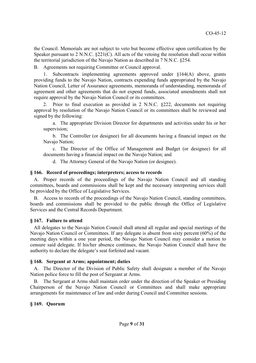the Council. Memorials are not subject to veto but become effective upon certification by the Speaker pursuant to 2 N.N.C. §221(C). All acts of the vetoing the resolution shall occur within the territorial jurisdiction of the Navajo Nation as described in 7 N.N.C. §254.

B. Agreements not requiring Committee or Council approval.

Subcontracts implementing agreements approved under  $§164(A)$  above, grants providing funds to the Navajo Nation, contracts expending funds appropriated by the Navajo Nation Council, Letter of Assurance agreements, memoranda of understanding, memoranda of agreement and other agreements that do not expend funds, associated amendments shall not require approval by the Navajo Nation Council or its committees.

2. Prior to final execution as provided in 2 N.N.C. §222, documents not requiring approval by resolution of the Navajo Nation Council or its committees shall be reviewed and signed by the following:

a. The appropriate Division Director for departments and activities under his or her supervision;

b. The Controller (or designee) for all documents having a financial impact on the Navajo Nation;

c. The Director of the Office of Management and Budget (or designee) for all documents having a financial impact on the Navajo Nation; and

d. The Attorney General of the Navajo Nation (or designee).

#### **§ 166. Record of proceedings; interpreters; access to records**

A. Proper records of the proceedings of the Navajo Nation Council and all standing committees, boards and commissions shall be kept and the necessary interpreting services shall be provided by the Office of Legislative Services.

B. Access to records of the proceedings of the Navajo Nation Council, standing committees, boards and commissions shall be provided to the public through the Office of Legislative Services and the Central Records Department.

## **§ 167. Failure to attend**

All delegates to the Navajo Nation Council shall attend all regular and special meetings of the Navajo Nation Council or Committees. If any delegate is absent from sixty percent (60%) of the meeting days within a one year period, the Navajo Nation Council may consider a motion to censure said delegate. If his/her absence continues, the Navajo Nation Council shall have the authority to declare the delegate's seat forfeited and vacant.

## **§ 168. Sergeant at Arms; appointment; duties**

A. The Director of the Division of Public Safety shall designate a member of the Navajo Nation police force to fill the post of Sergeant at Arms.

B. The Sergeant at Arms shall maintain order under the direction of the Speaker or Presiding Chairperson of the Navajo Nation Council or Committees and shall make appropriate arrangements for maintenance of law and order during Council and Committee sessions.

## **§ 169. Quorum**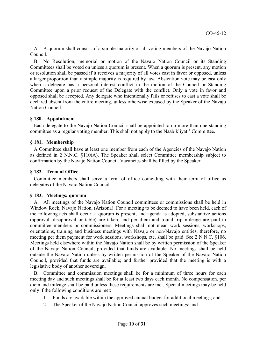A. A quorum shall consist of a simple majority of all voting members of the Navajo Nation Council.

B. No Resolution, memorial or motion of the Navajo Nation Council or its Standing Committees shall be voted on unless a quorum is present. When a quorum is present, any motion or resolution shall be passed if it receives a majority of all votes cast in favor or opposed, unless a larger proportion than a simple majority is required by law. Abstention vote may be cast only when a delegate has a personal interest conflict in the motion of the Council or Standing Committee upon a prior request of the Delegate with the conflict. Only a vote in favor and opposed shall be accepted. Any delegate who intentionally fails or refuses to cast a vote shall be declared absent from the entire meeting, unless otherwise excused by the Speaker of the Navajo Nation Council.

#### **§ 180. Appointment**

Each delegate to the Navajo Nation Council shall be appointed to no more than one standing committee as a regular voting member. This shall not apply to the Naabik'íyáti' Committee.

#### **§ 181. Membership**

A Committee shall have at least one member from each of the Agencies of the Navajo Nation as defined in 2 N.N.C. §110(A). The Speaker shall select Committee membership subject to confirmation by the Navajo Nation Council. Vacancies shall be filled by the Speaker.

#### **§ 182. Term of Office**

Committee members shall serve a term of office coinciding with their term of office as delegates of the Navajo Nation Council.

## **§ 183. Meetings; quorum**

A. All meetings of the Navajo Nation Council committees or commissions shall be held in Window Rock, Navajo Nation, (Arizona). For a meeting to be deemed to have been held, each of the following acts shall occur: a quorum is present, and agenda is adopted, substantive actions (approval, disapproval or table) are taken, and per diem and round trip mileage are paid to committee members or commissioners. Meetings shall not mean work sessions, workshops, orientations, training and business meetings with Navajo or non-Navajo entities, therefore, no meeting per diem payment for work sessions, workshops, etc. shall be paid. See 2 N.N.C. §106. Meetings held elsewhere within the Navajo Nation shall be by written permission of the Speaker of the Navajo Nation Council, provided that funds are available. No meetings shall be held outside the Navajo Nation unless by written permission of the Speaker of the Navajo Nation Council, provided that funds are available; and further provided that the meeting is with a legislative body of another sovereign.

B. Committee and commission meetings shall be for a minimum of three hours for each meeting day and such meetings shall be for at least two days each month. No compensation, per diem and mileage shall be paid unless these requirements are met. Special meetings may be held only if the following conditions are met:

- 1. Funds are available within the approved annual budget for additional meetings; and
- 2. The Speaker of the Navajo Nation Council approves such meetings; and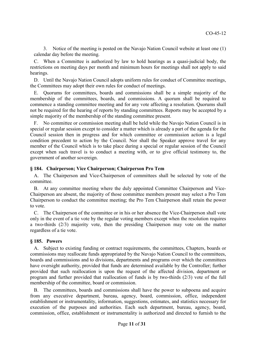3. Notice of the meeting is posted on the Navajo Nation Council website at least one (1) calendar day before the meeting.

C. When a Committee is authorized by law to hold hearings as a quasi-judicial body, the restrictions on meeting days per month and minimum hours for meetings shall not apply to said hearings.

D. Until the Navajo Nation Council adopts uniform rules for conduct of Committee meetings, the Committees may adopt their own rules for conduct of meetings.

E. Quorums for committees, boards and commissions shall be a simple majority of the membership of the committees, boards, and commissions. A quorum shall be required to commence a standing committee meeting and for any vote affecting a resolution. Quorums shall not be required for the hearing of reports by standing committees. Reports may be accepted by a simple majority of the membership of the standing committee present.

F. No committee or commission meeting shall be held while the Navajo Nation Council is in special or regular session except to consider a matter which is already a part of the agenda for the Council session then in progress and for which committee or commission action is a legal condition precedent to action by the Council. Nor shall the Speaker approve travel for any member of the Council which is to take place during a special or regular session of the Council except when such travel is to conduct a meeting with, or to give official testimony to, the government of another sovereign.

#### **§ 184. Chairperson; Vice Chairperson; Chairperson Pro Tem**

A. The Chairperson and Vice-Chairperson of committees shall be selected by vote of the committee.

B. At any committee meeting where the duly appointed Committee Chairperson and Vice-Chairperson are absent, the majority of those committee members present may select a Pro Tem Chairperson to conduct the committee meeting; the Pro Tem Chairperson shall retain the power to vote.

C. The Chairperson of the committee or in his or her absence the Vice-Chairperson shall vote only in the event of a tie vote by the regular voting members except when the resolution requires a two-thirds (2/3) majority vote, then the presiding Chairperson may vote on the matter regardless of a tie vote.

## **§ 185. Powers**

A. Subject to existing funding or contract requirements, the committees, Chapters, boards or commissions may reallocate funds appropriated by the Navajo Nation Council to the committees, boards and commissions and to divisions, departments and programs over which the committees have oversight authority, provided that funds are determined available by the Controller; further provided that such reallocation is upon the request of the affected division, department or program and further provided that reallocation of funds is by two-thirds (2/3) vote of the full membership of the committee, board or commission.

B. The committees, boards and commissions shall have the power to subpoena and acquire from any executive department, bureau, agency, board, commission, office, independent establishment or instrumentality, information, suggestions, estimates, and statistics necessary for execution of the purposes and authorities. Each such department, bureau, agency, board, commission, office, establishment or instrumentality is authorized and directed to furnish to the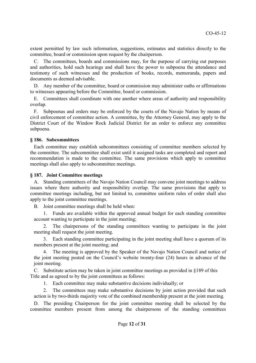extent permitted by law such information, suggestions, estimates and statistics directly to the committee, board or commission upon request by the chairperson.

C. The committees, boards and commissions may, for the purpose of carrying out purposes and authorities, hold such hearings and shall have the power to subpoena the attendance and testimony of such witnesses and the production of books, records, memoranda, papers and documents as deemed advisable.

D. Any member of the committee, board or commission may administer oaths or affirmations to witnesses appearing before the Committee, board or commission.

E. Committees shall coordinate with one another where areas of authority and responsibility overlap.

F. Subpoenas and orders may be enforced by the courts of the Navajo Nation by means of civil enforcement of committee action. A committee, by the Attorney General, may apply to the District Court of the Window Rock Judicial District for an order to enforce any committee subpoena.

#### **§ 186. Subcommittees**

Each committee may establish subcommittees consisting of committee members selected by the committee. The subcommittee shall exist until it assigned tasks are completed and report and recommendation is made to the committee. The same provisions which apply to committee meetings shall also apply to subcommittee meetings.

#### **§ 187. Joint Committee meetings**

A. Standing committees of the Navajo Nation Council may convene joint meetings to address issues where there authority and responsibility overlap. The same provisions that apply to committee meetings including, but not limited to, committee uniform rules of order shall also apply to the joint committee meetings.

B. Joint committee meetings shall be held when:

1. Funds are available within the approved annual budget for each standing committee account wanting to participate in the joint meeting;

2. The chairpersons of the standing committees wanting to participate in the joint meeting shall request the joint meeting.

3. Each standing committee participating in the joint meeting shall have a quorum of its members present at the joint meeting; and

4. The meeting is approved by the Speaker of the Navajo Nation Council and notice of the joint meeting posted on the Council's website twenty-four (24) hours in advance of the joint meeting.

C. Substitute action may be taken in joint committee meetings as provided in §189 of this Title and as agreed to by the joint committees as follows:

1. Each committee may make substantive decisions individually; or

2. The committees may make substantive decisions by joint action provided that such action is by two-thirds majority vote of the combined membership present at the joint meeting.

D. The presiding Chairperson for the joint committee meeting shall be selected by the committee members present from among the chairpersons of the standing committees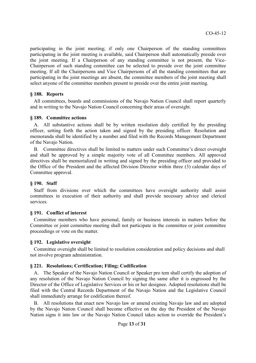participating in the joint meeting; if only one Chairperson of the standing committees participating in the joint meeting is available, said Chairperson shall automatically preside over the joint meeting. If a Chairperson of any standing committee is not present, the Vice-Chairperson of such standing committee can be selected to preside over the joint committee meeting. If all the Chairpersons and Vice Chairpersons of all the standing committees that are participating in the joint meetings are absent, the committee members of the joint meeting shall select anyone of the committee members present to preside over the entire joint meeting.

## **§ 188. Reports**

All committees, boards and commissions of the Navajo Nation Council shall report quarterly and in writing to the Navajo Nation Council concerning their areas of oversight.

#### **§ 189. Committee actions**

A. All substantive actions shall be by written resolution duly certified by the presiding officer, setting forth the action taken and signed by the presiding officer. Resolution and memoranda shall be identified by a number and filed with the Records Management Department of the Navajo Nation.

B. Committee directives shall be limited to matters under such Committee's direct oversight and shall be approved by a simple majority vote of all Committee members. All approved directives shall be memorialized in writing and signed by the presiding officer and provided to the Office of the President and the affected Division Director within three (3) calendar days of Committee approval.

#### **§ 190. Staff**

Staff from divisions over which the committees have oversight authority shall assist committees in execution of their authority and shall provide necessary advice and clerical services.

#### **§ 191. Conflict of interest**

Committee members who have personal, family or business interests in matters before the Committee or joint committee meeting shall not participate in the committee or joint committee proceedings or vote on the matter.

#### **§ 192. Legislative oversight**

Committee oversight shall be limited to resolution consideration and policy decisions and shall not involve program administration.

## **§ 221. Resolutions; Certification; Filing; Codification**

A. The Speaker of the Navajo Nation Council or Speaker pro tem shall certify the adoption of any resolution of the Navajo Nation Council by signing the same after it is engrossed by the Director of the Office of Legislative Services or his or her designee. Adopted resolutions shall be filed with the Central Records Department of the Navajo Nation and the Legislative Council shall immediately arrange for codification thereof.

B. All resolutions that enact new Navajo law or amend existing Navajo law and are adopted by the Navajo Nation Council shall become effective on the day the President of the Navajo Nation signs it into law or the Navajo Nation Council takes action to override the President's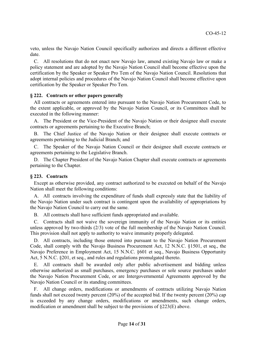veto, unless the Navajo Nation Council specifically authorizes and directs a different effective date.

C. All resolutions that do not enact new Navajo law, amend existing Navajo law or make a policy statement and are adopted by the Navajo Nation Council shall become effective upon the certification by the Speaker or Speaker Pro Tem of the Navajo Nation Council. Resolutions that adopt internal policies and procedures of the Navajo Nation Council shall become effective upon certification by the Speaker or Speaker Pro Tem.

#### **§ 222. Contracts or other papers generally**

All contracts or agreements entered into pursuant to the Navajo Nation Procurement Code, to the extent applicable, or approved by the Navajo Nation Council, or its Committees shall be executed in the following manner:

A. The President or the Vice-President of the Navajo Nation or their designee shall execute contracts or agreements pertaining to the Executive Branch;

B. The Chief Justice of the Navajo Nation or their designee shall execute contracts or agreements pertaining to the Judicial Branch; and

C. The Speaker of the Navajo Nation Council or their designee shall execute contracts or agreements pertaining to the Legislative Branch.

D. The Chapter President of the Navajo Nation Chapter shall execute contracts or agreements pertaining to the Chapter.

## **§ 223. Contracts**

Except as otherwise provided, any contract authorized to be executed on behalf of the Navajo Nation shall meet the following conditions:

A. All contracts involving the expenditure of funds shall expressly state that the liability of the Navajo Nation under such contract is contingent upon the availability of appropriations by the Navajo Nation Council to carry out the same.

B. All contracts shall have sufficient funds appropriated and available.

C. Contracts shall not waive the sovereign immunity of the Navajo Nation or its entities unless approved by two-thirds (2/3) vote of the full membership of the Navajo Nation Council. This provision shall not apply to authority to waive immunity properly delegated.

D. All contracts, including those entered into pursuant to the Navajo Nation Procurement Code, shall comply with the Navajo Business Procurement Act, 12 N.N.C. §1501, et seq., the Navajo Preference in Employment Act, 15 N.N.C. §601 et seq., Navajo Business Opportunity Act, 5 N.N.C. §201, et seq., and rules and regulations promulgated thereto.

E. All contracts shall be awarded only after public advertisement and bidding unless otherwise authorized as small purchases, emergency purchases or sole source purchases under the Navajo Nation Procurement Code, or are Intergovernmental Agreements approved by the Navajo Nation Council or its standing committees.

All change orders, modifications or amendments of contracts utilizing Navajo Nation funds shall not exceed twenty percent (20%) of the accepted bid. If the twenty percent (20%) cap is exceeded by any change orders, modifications or amendments, such change orders, modification or amendment shall be subject to the provisions of §223(E) above.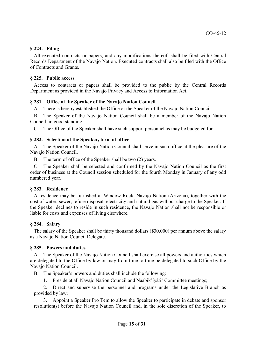## **§ 224. Filing**

All executed contracts or papers, and any modifications thereof, shall be filed with Central Records Department of the Navajo Nation. Executed contracts shall also be filed with the Office of Contracts and Grants.

## **§ 225. Public access**

Access to contracts or papers shall be provided to the public by the Central Records Department as provided in the Navajo Privacy and Access to Information Act.

## **§ 281. Office of the Speaker of the Navajo Nation Council**

A. There is hereby established the Office of the Speaker of the Navajo Nation Council.

B. The Speaker of the Navajo Nation Council shall be a member of the Navajo Nation Council, in good standing.

C. The Office of the Speaker shall have such support personnel as may be budgeted for.

## **§ 282. Selection of the Speaker, term of office**

A. The Speaker of the Navajo Nation Council shall serve in such office at the pleasure of the Navajo Nation Council.

B. The term of office of the Speaker shall be two (2) years.

C. The Speaker shall be selected and confirmed by the Navajo Nation Council as the first order of business at the Council session scheduled for the fourth Monday in January of any odd numbered year.

## **§ 283. Residence**

A residence may be furnished at Window Rock, Navajo Nation (Arizona), together with the cost of water, sewer, refuse disposal, electricity and natural gas without charge to the Speaker. If the Speaker declines to reside in such residence, the Navajo Nation shall not be responsible or liable for costs and expenses of living elsewhere.

## **§ 284. Salary**

The salary of the Speaker shall be thirty thousand dollars (\$30,000) per annum above the salary as a Navajo Nation Council Delegate.

## **§ 285. Powers and duties**

A. The Speaker of the Navajo Nation Council shall exercise all powers and authorities which are delegated to the Office by law or may from time to time be delegated to such Office by the Navajo Nation Council.

B. The Speaker's powers and duties shall include the following:

1. Preside at all Navajo Nation Council and Naabik'íyáti' Committee meetings;

2. Direct and supervise the personnel and programs under the Legislative Branch as provided by law;

3. Appoint a Speaker Pro Tem to allow the Speaker to participate in debate and sponsor resolution(s) before the Navajo Nation Council and, in the sole discretion of the Speaker, to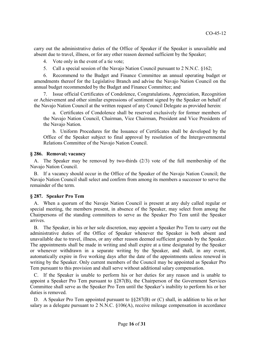carry out the administrative duties of the Office of Speaker if the Speaker is unavailable and absent due to travel, illness, or for any other reason deemed sufficient by the Speaker;

4. Vote only in the event of a tie vote;

5. Call a special session of the Navajo Nation Council pursuant to 2 N.N.C. §162;

6. Recommend to the Budget and Finance Committee an annual operating budget or amendments thereof for the Legislative Branch and advise the Navajo Nation Council on the annual budget recommended by the Budget and Finance Committee; and

7. Issue official Certificates of Condolence, Congratulations, Appreciation, Recognition or Achievement and other similar expressions of sentiment signed by the Speaker on behalf of the Navajo Nation Council at the written request of any Council Delegate as provided herein:

a. Certificates of Condolence shall be reserved exclusively for former members of the Navajo Nation Council, Chairman, Vice Chairman, President and Vice Presidents of the Navajo Nation.

b. Uniform Procedures for the Issuance of Certificates shall be developed by the Office of the Speaker subject to final approval by resolution of the Intergovernmental Relations Committee of the Navajo Nation Council.

## **§ 286. Removal; vacancy**

A. The Speaker may be removed by two-thirds (2/3) vote of the full membership of the Navajo Nation Council.

B. If a vacancy should occur in the Office of the Speaker of the Navajo Nation Council; the Navajo Nation Council shall select and confirm from among its members a successor to serve the remainder of the term.

## **§ 287. Speaker Pro Tem**

A. When a quorum of the Navajo Nation Council is present at any duly called regular or special meeting, the members present, in absence of the Speaker, may select from among the Chairpersons of the standing committees to serve as the Speaker Pro Tem until the Speaker arrives.

B. The Speaker, in his or her sole discretion, may appoint a Speaker Pro Tem to carry out the administrative duties of the Office of Speaker whenever the Speaker is both absent and unavailable due to travel, illness, or any other reason deemed sufficient grounds by the Speaker. The appointments shall be made in writing and shall expire at a time designated by the Speaker or whenever withdrawn in a separate writing by the Speaker, and shall, in any event, automatically expire in five working days after the date of the appointments unless renewed in writing by the Speaker. Only current members of the Council may be appointed as Speaker Pro Tem pursuant to this provision and shall serve without additional salary compensation.

C. If the Speaker is unable to perform his or her duties for any reason and is unable to appoint a Speaker Pro Tem pursuant to §287(B), the Chairperson of the Government Services Committee shall serve as the Speaker Pro Tem until the Speaker's inability to perform his or her duties is removed.

D. A Speaker Pro Tem appointed pursuant to §§287(B) or (C) shall, in addition to his or her salary as a delegate pursuant to 2 N.N.C. §106(A), receive mileage compensation in accordance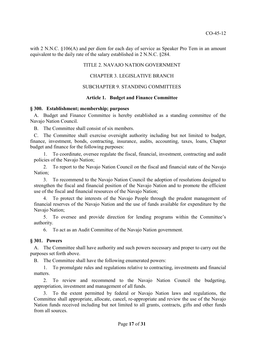with 2 N.N.C. §106(A) and per diem for each day of service as Speaker Pro Tem in an amount equivalent to the daily rate of the salary established in 2 N.N.C. §284.

#### TITLE 2. NAVAJO NATION GOVERNMENT

#### CHAPTER 3. LEGISLATIVE BRANCH

#### SUBCHAPTER 9. STANDING COMMITTEES

#### **Article 1. Budget and Finance Committee**

#### **§ 300. Establishment; membership; purposes**

A. Budget and Finance Committee is hereby established as a standing committee of the Navajo Nation Council.

B. The Committee shall consist of six members.

C. The Committee shall exercise oversight authority including but not limited to budget, finance, investment, bonds, contracting, insurance, audits, accounting, taxes, loans, Chapter budget and finance for the following purposes:

1. To coordinate, oversee regulate the fiscal, financial, investment, contracting and audit policies of the Navajo Nation;

2. To report to the Navajo Nation Council on the fiscal and financial state of the Navajo Nation;

3. To recommend to the Navajo Nation Council the adoption of resolutions designed to strengthen the fiscal and financial position of the Navajo Nation and to promote the efficient use of the fiscal and financial resources of the Navajo Nation;

4. To protect the interests of the Navajo People through the prudent management of financial reserves of the Navajo Nation and the use of funds available for expenditure by the Navajo Nation;

5. To oversee and provide direction for lending programs within the Committee's authority.

6. To act as an Audit Committee of the Navajo Nation government.

#### **§ 301. Powers**

A. The Committee shall have authority and such powers necessary and proper to carry out the purposes set forth above.

B. The Committee shall have the following enumerated powers:

1. To promulgate rules and regulations relative to contracting, investments and financial matters.

2. To review and recommend to the Navajo Nation Council the budgeting, appropriation, investment and management of all funds.

3. To the extent permitted by federal or Navajo Nation laws and regulations, the Committee shall appropriate, allocate, cancel, re-appropriate and review the use of the Navajo Nation funds received including but not limited to all grants, contracts, gifts and other funds from all sources.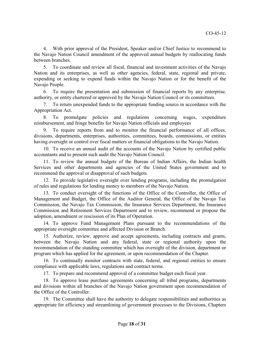4. With prior approval of the President, Speaker and/or Chief Justice to recommend to the Navajo Nation Council amendment of the approved annual budgets by reallocating funds between branches.

5. To coordinate and review all fiscal, financial and investment activities of the Navajo Nation and its enterprises, as well as other agencies, federal, state, regional and private, expending or seeking to expend funds within the Navajo Nation or for the benefit of the Navajo People.

6. To require the presentation and submission of financial reports by any enterprise, authority, or entity chartered or approved by the Navajo Nation Council or its committees.

7. To return unexpended funds to the appropriate funding source in accordance with the Appropriation Act.

8. To promulgate policies and regulations concerning wages, expenditure reimbursement, and fringe benefits for Navajo Nation officials and employees

9. To require reports from and to monitor the financial performance of all offices, divisions, departments, enterprises, authorities, committees, boards, commissions, or entities having oversight or control over fiscal matters or financial obligations to the Navajo Nation.

10. To receive an annual audit of the accounts of the Navajo Nation by certified public accountants and to present such audit the Navajo Nation Council.

11. To review the annual budgets of the Bureau of Indian Affairs, the Indian health Services and other departments and agencies of the United States government and to recommend the approval or disapproval of such budgets.

12. To provide legislative oversight over lending programs, including the promulgation of rules and regulations for lending money to members of the Navajo Nation.

13. To conduct oversight of the functions of the Office of the Controller, the Office of Management and Budget, the Office of the Auditor General, the Office of the Navajo Tax Commission, the Navajo Tax Commission, the Insurance Services Department, the Insurance Commission and Retirement Services Department and to review, recommend or propose the adoption, amendment or rescission of its Plan of Operation.

14. To approve Fund Management Plans pursuant to the recommendations of the appropriate oversight committee and affected Division or Branch.

15. Authorize, review, approve and accept agreements, including contracts and grants, between the Navajo Nation and any federal, state or regional authority upon the recommendation of the standing committee which has oversight of the division, department or program which has applied for the agreement, or upon recommendation of the Chapter.

16. To continually monitor contracts with state, federal, and regional entities to ensure compliance with applicable laws, regulations and contract terms.

17. To prepare and recommend approval of a committee budget each fiscal year.

18. To approve lease purchase agreements concerning all tribal programs, departments and divisions within all branches of the Navajo Nation government upon recommendation of the Office of the Controller.

19. The Committee shall have the authority to delegate responsibilities and authorities as appropriate for efficiency and streamlining of government processes to the Divisions, Chapters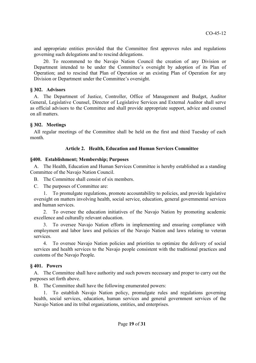and appropriate entities provided that the Committee first approves rules and regulations governing such delegations and to rescind delegations.

20. To recommend to the Navajo Nation Council the creation of any Division or Department intended to be under the Committee's oversight by adoption of its Plan of Operation; and to rescind that Plan of Operation or an existing Plan of Operation for any Division or Department under the Committee's oversight.

#### **§ 302. Advisors**

A. The Department of Justice, Controller, Office of Management and Budget, Auditor General, Legislative Counsel, Director of Legislative Services and External Auditor shall serve as official advisors to the Committee and shall provide appropriate support, advice and counsel on all matters.

#### **§ 302. Meetings**

All regular meetings of the Committee shall be held on the first and third Tuesday of each month.

## **Article 2. Health, Education and Human Services Committee**

#### **§400. Establishment; Membership; Purposes**

A. The Health, Education and Human Services Committee is hereby established as a standing Committee of the Navajo Nation Council.

B. The Committee shall consist of six members.

C. The purposes of Committee are:

1. To promulgate regulations, promote accountability to policies, and provide legislative oversight on matters involving health, social service, education, general governmental services and human services.

2. To oversee the education initiatives of the Navajo Nation by promoting academic excellence and culturally relevant education.

3. To oversee Navajo Nation efforts in implementing and ensuring compliance with employment and labor laws and policies of the Navajo Nation and laws relating to veteran services.

4. To oversee Navajo Nation policies and priorities to optimize the delivery of social services and health services to the Navajo people consistent with the traditional practices and customs of the Navajo People.

## **§ 401. Powers**

A. The Committee shall have authority and such powers necessary and proper to carry out the purposes set forth above.

B. The Committee shall have the following enumerated powers:

1. To establish Navajo Nation policy, promulgate rules and regulations governing health, social services, education, human services and general government services of the Navajo Nation and its tribal organizations, entities, and enterprises.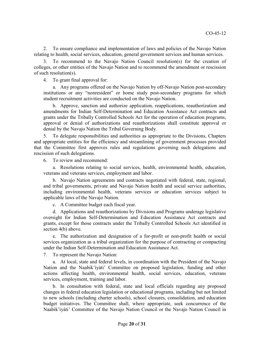2. To ensure compliance and implementation of laws and policies of the Navajo Nation relating to health, social services, education, general government services and human services.

3. To recommend to the Navajo Nation Council resolution(s) for the creation of colleges, or other entities of the Navajo Nation and to recommend the amendment or rescission of such resolution(s).

4. To grant final approval for:

a. Any programs offered on the Navajo Nation by off-Navajo Nation post-secondary institutions or any "nonresident" or home study post-secondary programs for which student recruitment activities are conducted on the Navajo Nation.

b. Approve, sanction and authorize application, reapplications, reauthorization and amendments for Indian Self-Determination and Education Assistance Act contracts and grants under the Tribally Controlled Schools Act for the operation of education programs, approval or denial of authorizations and reauthorizations shall constitute approval or denial by the Navajo Nation the Tribal Governing Body.

5. To delegate responsibilities and authorities as appropriate to the Divisions, Chapters and appropriate entities for the efficiency and streamlining of government processes provided that the Committee first approves rules and regulations governing such delegations and rescission of such delegations.

6. To review and recommend:

a. Resolutions relating to social services, health, environmental health, education, veterans and veterans services, employment and labor.

b. Navajo Nation agreements and contracts negotiated with federal, state, regional, and tribal governments, private and Navajo Nation health and social service authorities, including environmental health, veterans services or education services subject to applicable laws of the Navajo Nation.

c. A Committee budget each fiscal year.

d. Applications and reauthorizations by Divisions and Programs underage legislative oversight for Indian Self-Determination and Education Assistance Act contracts and grants, except for those contracts under the Tribally Controlled Schools Act identified in section 4(b) above.

e. The authorization and designation of a for-profit or non-profit health or social services organization as a tribal organization for the purpose of contracting or compacting under the Indian Self-Determination and Education Assistance Act.

7. To represent the Navajo Nation:

a. At local, state and federal levels, in coordination with the President of the Navajo Nation and the Naabik'íyáti' Committee on proposed legislation, funding and other actions affecting health, environmental health, social services, education, veterans services, employment, training and labor.

b. In consultation with federal, state and local officials regarding any proposed changes in federal education legislation or educational programs, including but not limited to new schools (including charter schools), school closures, consolidation, and education budget initiatives. The Committee shall, where appropriate, seek concurrence of the Naabik'íyáti' Committee of the Navajo Nation Council or the Navajo Nation Council in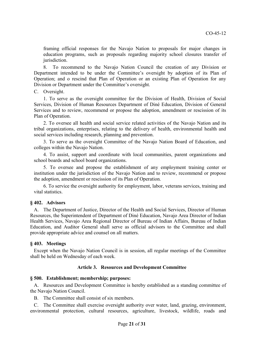framing official responses for the Navajo Nation to proposals for major changes in education programs, such as proposals regarding majority school closures transfer of jurisdiction.

8. To recommend to the Navajo Nation Council the creation of any Division or Department intended to be under the Committee's oversight by adoption of its Plan of Operation; and o rescind that Plan of Operation or an existing Plan of Operation for any Division or Department under the Committee's oversight.

#### C. Oversight.

1. To serve as the oversight committee for the Division of Health, Division of Social Services, Division of Human Resources Department of Diné Education, Division of General Services and to review, recommend or propose the adoption, amendment or rescission of its Plan of Operation.

2. To oversee all health and social service related activities of the Navajo Nation and its tribal organizations, enterprises, relating to the delivery of health, environmental health and social services including research, planning and prevention.

3. To serve as the oversight Committee of the Navajo Nation Board of Education, and colleges within the Navajo Nation.

4. To assist, support and coordinate with local communities, parent organizations and school boards and school board organizations.

5. To oversee and propose the establishment of any employment training center or institution under the jurisdiction of the Navajo Nation and to review, recommend or propose the adoption, amendment or rescission of its Plan of Operation.

6. To service the oversight authority for employment, labor, veterans services, training and vital statistics.

## **§ 402. Advisors**

A. The Department of Justice, Director of the Health and Social Services, Director of Human Resources, the Superintendent of Department of Diné Education, Navajo Area Director of Indian Health Services, Navajo Area Regional Director of Bureau of Indian Affairs, Bureau of Indian Education, and Auditor General shall serve as official advisors to the Committee and shall provide appropriate advice and counsel on all matters.

## **§ 403. Meetings**

Except when the Navajo Nation Council is in session, all regular meetings of the Committee shall be held on Wednesday of each week.

## **Article 3. Resources and Development Committee**

## **§ 500. Establishment; membership; purposes:**

A. Resources and Development Committee is hereby established as a standing committee of the Navajo Nation Council.

B. The Committee shall consist of six members.

C. The Committee shall exercise oversight authority over water, land, grazing, environment, environmental protection, cultural resources, agriculture, livestock, wildlife, roads and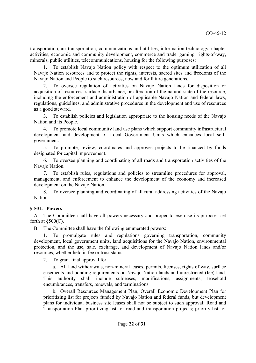transportation, air transportation, communications and utilities, information technology, chapter activities, economic and community development, commerce and trade, gaming, rights-of-way, minerals, public utilities, telecommunications, housing for the following purposes:

1. To establish Navajo Nation policy with respect to the optimum utilization of all Navajo Nation resources and to protect the rights, interests, sacred sites and freedoms of the Navajo Nation and People to such resources, now and for future generations.

2. To oversee regulation of activities on Navajo Nation lands for disposition or acquisition of resources, surface disturbance, or alteration of the natural state of the resource, including the enforcement and administration of applicable Navajo Nation and federal laws, regulations, guidelines, and administrative procedures in the development and use of resources as a good steward.

3. To establish policies and legislation appropriate to the housing needs of the Navajo Nation and its People.

4. To promote local community land use plans which support community infrastructural development and development of Local Government Units which enhances local selfgovernment.

5. To promote, review, coordinates and approves projects to be financed by funds designated for capital improvement.

6. To oversee planning and coordinating of all roads and transportation activities of the Navajo Nation.

7. To establish rules, regulations and policies to streamline procedures for approval, management, and enforcement to enhance the development of the economy and increased development on the Navajo Nation.

8. To oversee planning and coordinating of all rural addressing activities of the Navajo **Nation** 

#### **§ 501. Powers**

A. The Committee shall have all powers necessary and proper to exercise its purposes set forth at  $$500(C)$ .

B. The Committee shall have the following enumerated powers:

1. To promulgate rules and regulations governing transportation, community development, local government units, land acquisitions for the Navajo Nation, environmental protection, and the use, sale, exchange, and development of Navajo Nation lands and/or resources, whether held in fee or trust status.

2. To grant final approval for:

a. All land withdrawals, non-mineral leases, permits, licenses, rights of way, surface easements and bonding requirements on Navajo Nation lands and unrestricted (fee) land. This authority shall include subleases, modifications, assignments, leasehold encumbrances, transfers, renewals, and terminations.

b. Overall Resources Management Plan; Overall Economic Development Plan for prioritizing list for projects funded by Navajo Nation and federal funds, but development plans for individual business site leases shall not be subject to such approval; Road and Transportation Plan prioritizing list for road and transportation projects; priority list for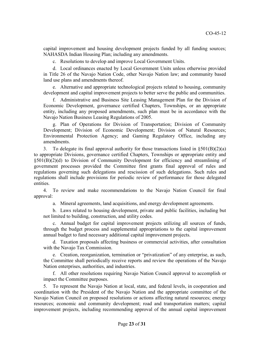capital improvement and housing development projects funded by all funding sources; NAHASDA Indian Housing Plan; including any amendments.

c. Resolutions to develop and improve Local Government Units.

d. Local ordinances enacted by Local Government Units unless otherwise provided in Title 26 of the Navajo Nation Code, other Navajo Nation law; and community based land use plans and amendments thereof.

e. Alternative and appropriate technological projects related to housing, community development and capital improvement projects to better serve the public and communities.

f. Administrative and Business Site Leasing Management Plan for the Division of Economic Development, governance certified Chapters, Townships, or an appropriate entity, including any proposed amendments, such plan must be in accordance with the Navajo Nation Business Leasing Regulations of 2005.

g. Plan of Operations for Division of Transportation; Division of Community Development; Division of Economic Development; Division of Natural Resources; Environmental Protection Agency; and Gaming Regulatory Office, including any amendments.

3. To delegate its final approval authority for those transactions listed in §501(B)(2)(a) to appropriate Divisions, governance certified Chapters, Townships or appropriate entity and §501(B)(2)(d) to Division of Community Development for efficiency and streamlining of government processes provided the Committee first grants final approval of rules and regulations governing such delegations and rescission of such delegations. Such rules and regulations shall include provisions for periodic review of performance for those delegated entities.

4. To review and make recommendations to the Navajo Nation Council for final approval:

a. Mineral agreements, land acquisitions, and energy development agreements.

b. Laws related to housing development, private and public facilities, including but not limited to building, construction, and utility codes.

c. Annual budget for capital improvement projects utilizing all sources of funds, through the budget process and supplemental appropriations to the capital improvement annual budget to fund necessary additional capital improvement projects.

d. Taxation proposals affecting business or commercial activities, after consultation with the Navajo Tax Commission.

e. Creation, reorganization, termination or "privatization" of any enterprise, as such, the Committee shall periodically receive reports and review the operations of the Navajo Nation enterprises, authorities, and industries.

f. All other resolutions requiring Navajo Nation Council approval to accomplish or impact the Committee purposes.

5. To represent the Navajo Nation at local, state, and federal levels, in cooperation and coordination with the President of the Navajo Nation and the appropriate committee of the Navajo Nation Council on proposed resolutions or actions affecting natural resources; energy resources; economic and community development; road and transportation matters; capital improvement projects, including recommending approval of the annual capital improvement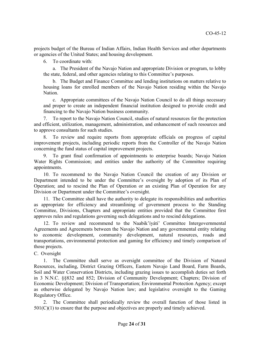projects budget of the Bureau of Indian Affairs, Indian Health Services and other departments or agencies of the United States; and housing development.

6. To coordinate with:

a. The President of the Navajo Nation and appropriate Division or program, to lobby the state, federal, and other agencies relating to this Committee's purposes.

b. The Budget and Finance Committee and lending institutions on matters relative to housing loans for enrolled members of the Navajo Nation residing within the Navajo Nation<sup>1</sup>

c. Appropriate committees of the Navajo Nation Council to do all things necessary and proper to create an independent financial institution designed to provide credit and financing to the Navajo Nation business community.

7. To report to the Navajo Nation Council, studies of natural resources for the protection and efficient, utilization, management, administration, and enhancement of such resources and to approve consultants for such studies.

8. To review and require reports from appropriate officials on progress of capital improvement projects, including periodic reports from the Controller of the Navajo Nation concerning the fund status of capital improvement projects.

9. To grant final confirmation of appointments to enterprise boards; Navajo Nation Water Rights Commission; and entities under the authority of the Committee requiring appointments.

10. To recommend to the Navajo Nation Council the creation of any Division or Department intended to be under the Committee's oversight by adoption of its Plan of Operation; and to rescind the Plan of Operation or an existing Plan of Operation for any Division or Department under the Committee's oversight.

11. The Committee shall have the authority to delegate its responsibilities and authorities as appropriate for efficiency and streamlining of government process to the Standing Committee, Divisions, Chapters and appropriate entities provided that the Committee first approves rules and regulations governing such delegations and to rescind delegations.

12. To review and recommend to the Naabik'íyáti' Committee Intergovernmental Agreements and Agreements between the Navajo Nation and any governmental entity relating to economic development, community development, natural resources, roads and transportations, environmental protection and gaming for efficiency and timely comparison of those projects.

C. Oversight

1. The Committee shall serve as oversight committee of the Division of Natural Resources, including, District Grazing Officers, Eastern Navajo Land Board, Farm Boards, Soil and Water Conservation Districts, including grazing issues to accomplish duties set forth in 3 N.N.C. §§832 and 852; Division of Community Development; Chapters; Division of Economic Development; Division of Transportation; Environmental Protection Agency; except as otherwise delegated by Navajo Nation law; and legislative oversight to the Gaming Regulatory Office.

2. The Committee shall periodically review the overall function of those listed in  $501(C)(1)$  to ensure that the purpose and objectives are properly and timely achieved.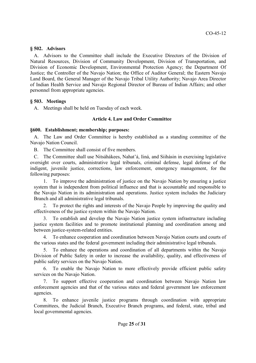## **§ 502. Advisors**

A. Advisors to the Committee shall include the Executive Directors of the Division of Natural Resources, Division of Community Development, Division of Transportation, and Division of Economic Development, Environmental Protection Agency; the Department Of Justice; the Controller of the Navajo Nation; the Office of Auditor General; the Eastern Navajo Land Board, the General Manager of the Navajo Tribal Utility Authority; Navajo Area Director of Indian Health Service and Navajo Regional Director of Bureau of Indian Affairs; and other personnel from appropriate agencies.

## **§ 503. Meetings**

A. Meetings shall be held on Tuesday of each week.

## **Article 4. Law and Order Committee**

## **§600. Establishment; membership; purposes:**

A. The Law and Order Committee is hereby established as a standing committee of the Navajo Nation Council.

B. The Committee shall consist of five members.

C. The Committee shall use Nitsáhákees, Nahat'á, Iiná, and Siihásin in exercising legislative oversight over courts, administrative legal tribunals, criminal defense, legal defense of the indigent, juvenile justice, corrections, law enforcement, emergency management, for the following purposes:

1. To improve the administration of justice on the Navajo Nation by ensuring a justice system that is independent from political influence and that is accountable and responsible to the Navajo Nation in its administration and operations. Justice system includes the Judiciary Branch and all administrative legal tribunals.

2. To protect the rights and interests of the Navajo People by improving the quality and effectiveness of the justice system within the Navajo Nation.

3. To establish and develop the Navajo Nation justice system infrastructure including justice system facilities and to promote institutional planning and coordination among and between justice-system-related entities.

4. To enhance cooperation and coordination between Navajo Nation courts and courts of the various states and the federal government including their administrative legal tribunals.

5. To enhance the operations and coordination of all departments within the Navajo Division of Public Safety in order to increase the availability, quality, and effectiveness of public safety services on the Navajo Nation.

6. To enable the Navajo Nation to more effectively provide efficient public safety services on the Navajo Nation.

7. To support effective cooperation and coordination between Navajo Nation law enforcement agencies and that of the various states and federal government law enforcement agencies.

8. To enhance juvenile justice programs through coordination with appropriate Committees, the Judicial Branch, Executive Branch programs, and federal, state, tribal and local governmental agencies.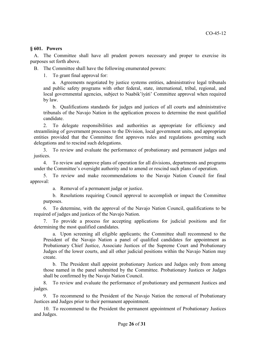#### **§ 601. Powers**

A. The Committee shall have all prudent powers necessary and proper to exercise its purposes set forth above.

B. The Committee shall have the following enumerated powers:

1. To grant final approval for:

a. Agreements negotiated by justice systems entities, administrative legal tribunals and public safety programs with other federal, state, international, tribal, regional, and local governmental agencies, subject to Naabik'íyáti' Committee approval when required by law.

b. Qualifications standards for judges and justices of all courts and administrative tribunals of the Navajo Nation in the application process to determine the most qualified candidate.

2. To delegate responsibilities and authorities as appropriate for efficiency and streamlining of government processes to the Division, local government units, and appropriate entities provided that the Committee first approves rules and regulations governing such delegations and to rescind such delegations.

3. To review and evaluate the performance of probationary and permanent judges and justices.

4. To review and approve plans of operation for all divisions, departments and programs under the Committee's oversight authority and to amend or rescind such plans of operation.

5. To review and make recommendations to the Navajo Nation Council for final approval:

a. Removal of a permanent judge or justice.

b. Resolutions requiring Council approval to accomplish or impact the Committee purposes.

6. To determine, with the approval of the Navajo Nation Council, qualifications to be required of judges and justices of the Navajo Nation.

7. To provide a process for accepting applications for judicial positions and for determining the most qualified candidates.

a. Upon screening all eligible applicants; the Committee shall recommend to the President of the Navajo Nation a panel of qualified candidates for appointment as Probationary Chief Justice, Associate Justices of the Supreme Court and Probationary Judges of the lower courts, and all other judicial positions within the Navajo Nation may create.

b. The President shall appoint probationary Justices and Judges only from among those named in the panel submitted by the Committee. Probationary Justices or Judges shall be confirmed by the Navajo Nation Council.

8. To review and evaluate the performance of probationary and permanent Justices and judges.

9. To recommend to the President of the Navajo Nation the removal of Probationary Justices and Judges prior to their permanent appointment.

10. To recommend to the President the permanent appointment of Probationary Justices and Judges.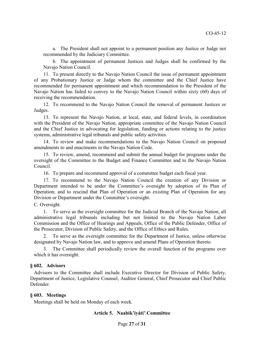a. The President shall not appoint to a permanent position any Justice or Judge not recommended by the Judiciary Committee.

b. The appointment of permanent Justices and Judges shall be confirmed by the Navajo Nation Council.

11. To present directly to the Navajo Nation Council the issue of permanent appointment of any Probationary Justice or Judge whom the committee and the Chief Justice have recommended for permanent appointment and which recommendation to the President of the Navajo Nation has failed to convey to the Navajo Nation Council within sixty (60) days of receiving the recommendation.

12. To recommend to the Navajo Nation Council the removal of permanent Justices or Judges.

13. To represent the Navajo Nation, at local, state, and federal levels, in coordination with the President of the Navajo Nation, appropriate committee of the Navajo Nation Council and the Chief Justice in advocating for legislation, funding or actions relating to the justice systems, administrative legal tribunals and public safety activities.

14. To review and make recommendations to the Navajo Nation Council on proposed amendments to and enactments in the Navajo Nation Code.

15. To review, amend, recommend and submit the annual budget for programs under the oversight of the Committee to the Budget and Finance Committee and to the Navajo Nation Council.

16. To prepare and recommend approval of a committee budget each fiscal year.

17. To recommend to the Navajo Nation Council the creation of any Division or Department intended to be under the Committee's oversight by adoption of its Plan of Operation; and to rescind that Plan of Operation or an existing Plan of Operation for any Division or Department under the Committee's oversight.

C. Oversight.

1. To serve as the oversight committee for the Judicial Branch of the Navajo Nation, all administrative legal tribunals including but not limited to the Navajo Nation Labor Commission and the Office of Hearings and Appeals, Office of the Public Defender, Office of the Prosecutor, Division of Public Safety, and the Office of Ethics and Rules.

2. To serve as the oversight committee for the Department of Justice, unless otherwise designated by Navajo Nation law, and to approve and amend Plans of Operation thereto.

The Committee shall periodically review the overall function of the programs over which it has oversight.

#### **§ 602. Advisors**

Advisors to the Committee shall include Executive Director for Division of Public Safety, Department of Justice, Legislative Counsel, Auditor General, Chief Prosecutor and Chief Public Defender.

#### **§ 603. Meetings**

Meetings shall be held on Monday of each week.

#### **Article 5. Naabik'íyáti' Committee**

Page **27** of **31**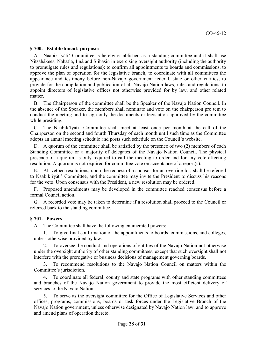#### **§ 700. Establishment; purposes**

A. Naabik'íyáti' Committee is hereby established as a standing committee and it shall use Nitsáhákees, Nahat'á, Iiná and Siihasin in exercising oversight authority (including the authority to promulgate rules and regulations): to confirm all appointments to boards and commissions, to approve the plan of operation for the legislative branch, to coordinate with all committees the appearance and testimony before non-Navajo government federal, state or other entities, to provide for the compilation and publication of all Navajo Nation laws, rules and regulations, to appoint directors of legislative offices not otherwise provided for by law, and other related matter

B. The Chairperson of the committee shall be the Speaker of the Navajo Nation Council. In the absence of the Speaker, the members shall nominate and vote on the chairperson pro tem to conduct the meeting and to sign only the documents or legislation approved by the committee while presiding.

C. The Naabik'íyáti' Committee shall meet at least once per month at the call of the Chairperson on the second and fourth Thursday of each month until such time as the Committee adopts an annual meeting schedule and posts such schedule on the Council's website.

D. A quorum of the committee shall be satisfied by the presence of two (2) members of each Standing Committee or a majority of delegates of the Navajo Nation Council. The physical presence of a quorum is only required to call the meeting to order and for any vote affecting resolution. A quorum is not required for committee vote on acceptance of a report(s).

All vetoed resolutions, upon the request of a sponsor for an override for, shall be referred to Naabik'íyáti' Committee, and the committee may invite the President to discuss his reasons for the veto. Upon consensus with the President, a new resolution may be ordered.

F. Proposed amendments may be developed in the committee reached consensus before a formal Council action.

G. A recorded vote may be taken to determine if a resolution shall proceed to the Council or referred back to the standing committee.

#### **§ 701. Powers**

A. The Committee shall have the following enumerated powers:

1. To give final confirmation of the appointments to boards, commissions, and colleges, unless otherwise provided by law.

2. To oversee the conduct and operations of entities of the Navajo Nation not otherwise under the oversight authority of other standing committees, except that such oversight shall not interfere with the prerogative or business decisions of management governing boards.

3. To recommend resolutions to the Navajo Nation Council on matters within the Committee's jurisdiction.

4. To coordinate all federal, county and state programs with other standing committees and branches of the Navajo Nation government to provide the most efficient delivery of services to the Navajo Nation.

5. To serve as the oversight committee for the Office of Legislative Services and other offices, programs, commissions, boards or task forces under the Legislative Branch of the Navajo Nation government, unless otherwise designated by Navajo Nation law, and to approve and amend plans of operation thereto.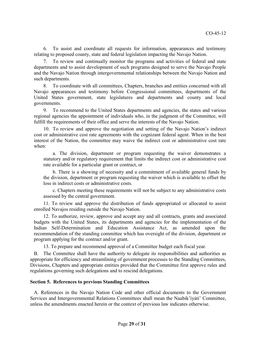6. To assist and coordinate all requests for information, appearances and testimony relating to proposed county, state and federal legislation impacting the Navajo Nation.

7. To review and continually monitor the programs and activities of federal and state departments and to assist development of such programs designed to serve the Navajo People and the Navajo Nation through intergovernmental relationships between the Navajo Nation and such departments.

8. To coordinate with all committees, Chapters, branches and entities concerned with all Navajo appearances and testimony before Congressional committees, departments of the United States government, state legislatures and departments and county and local governments.

9. To recommend to the United States departments and agencies, the states and various regional agencies the appointment of individuals who, in the judgment of the Committee, will fulfill the requirements of their office and serve the interests of the Navajo Nation.

10. To review and approve the negotiation and setting of the Navajo Nation's indirect cost or administrative cost rate agreements with the cognizant federal agent. When in the best interest of the Nation, the committee may waive the indirect cost or administrative cost rate when:

a. The division, department or program requesting the waiver demonstrates a statutory and/or regulatory requirement that limits the indirect cost or administrative cost rate available for a particular grant or contract, or

b. There is a showing of necessity and a commitment of available general funds by the division, department or program requesting the waiver which is available to offset the loss in indirect costs or administrative costs.

c. Chapters meeting these requirements will not be subject to any administrative costs assessed by the central government.

11. To review and approve the distribution of funds appropriated or allocated to assist enrolled Navajos residing outside the Navajo Nation.

12. To authorize, review, approve and accept any and all contracts, grants and associated budgets with the United States, its departments and agencies for the implementation of the Indian Self-Determination and Education Assistance Act, as amended upon the recommendation of the standing committee which has oversight of the division, department or program applying for the contract and/or grant.

13. To prepare and recommend approval of a Committee budget each fiscal year.

B. The Committee shall have the authority to delegate its responsibilities and authorities as appropriate for efficiency and streamlining of government processes to the Standing Committees, Divisions, Chapters and appropriate entities provided that the Committee first approve rules and regulations governing such delegations and to rescind delegations.

## **Section 5. References to previous Standing Committees**

A. References in the Navajo Nation Code and other official documents to the Government Services and Intergovernmental Relations Committees shall mean the Naabik'íyáti' Committee, unless the amendments enacted herein or the context of previous law indicates otherwise.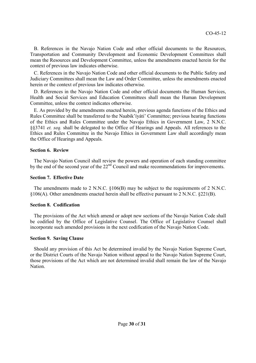B. References in the Navajo Nation Code and other official documents to the Resources, Transportation and Community Development and Economic Development Committees shall mean the Resources and Development Committee, unless the amendments enacted herein for the context of previous law indicates otherwise.

C. References in the Navajo Nation Code and other official documents to the Public Safety and Judiciary Committees shall mean the Law and Order Committee, unless the amendments enacted herein or the context of previous law indicates otherwise.

D. References in the Navajo Nation Code and other official documents the Human Services, Health and Social Services and Education Committees shall mean the Human Development Committee, unless the context indicates otherwise.

E. As provided by the amendments enacted herein, previous agenda functions of the Ethics and Rules Committee shall be transferred to the Naabik'íyáti' Committee; previous hearing functions of the Ethics and Rules Committee under the Navajo Ethics in Government Law, 2 N.N.C. §§3741 *et. seq.* shall be delegated to the Office of Hearings and Appeals. All references to the Ethics and Rules Committee in the Navajo Ethics in Government Law shall accordingly mean the Office of Hearings and Appeals.

#### **Section 6. Review**

The Navajo Nation Council shall review the powers and operation of each standing committee by the end of the second year of the 22<sup>nd</sup> Council and make recommendations for improvements.

#### **Section 7. Effective Date**

The amendments made to 2 N.N.C. §106(B) may be subject to the requirements of 2 N.N.C. §106(A). Other amendments enacted herein shall be effective pursuant to 2 N.N.C. §221(B).

#### **Section 8. Codification**

The provisions of the Act which amend or adopt new sections of the Navajo Nation Code shall be codified by the Office of Legislative Counsel. The Office of Legislative Counsel shall incorporate such amended provisions in the next codification of the Navajo Nation Code.

#### **Section 9. Saving Clause**

Should any provision of this Act be determined invalid by the Navajo Nation Supreme Court, or the District Courts of the Navajo Nation without appeal to the Navajo Nation Supreme Court, those provisions of the Act which are not determined invalid shall remain the law of the Navajo Nation.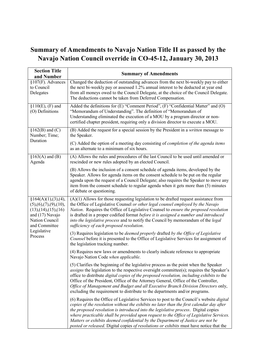## **Summary of Amendments to Navajo Nation Title II as passed by the Navajo Nation Council override in CO-45-12, January 30, 2013**

| <b>Section Title</b><br>and Number                                                                                                                                    | <b>Summary of Amendments</b>                                                                                                                                                                                                                                                                                                                                                                                                                                                                                                                               |
|-----------------------------------------------------------------------------------------------------------------------------------------------------------------------|------------------------------------------------------------------------------------------------------------------------------------------------------------------------------------------------------------------------------------------------------------------------------------------------------------------------------------------------------------------------------------------------------------------------------------------------------------------------------------------------------------------------------------------------------------|
| §107(F). Advances<br>to Council<br>Delegates                                                                                                                          | Changed the deduction of outstanding advances from the next bi-weekly pay to either<br>the next bi-weekly pay or assessed 1.2% annual interest to be deducted at year end<br>from all moneys owed to the Council Delegate, at the choice of the Council Delegate.<br>The deductions cannot be taken from Deferred Compensation.                                                                                                                                                                                                                            |
| $$110(E), (F)$ and<br>(O) Definitions                                                                                                                                 | Added the definitions for (E) "Comment Period", (F) "Confidential Matter" and (O)<br>"Memorandum of Understanding". The definition of "Memorandum of<br>Understanding eliminated the execution of a MOU by a program director or non-<br>certified chapter president, requiring only a division director to execute a MOU.                                                                                                                                                                                                                                 |
| $§162(B)$ and (C)<br>Number; Time;<br>Duration                                                                                                                        | (B) Added the request for a special session by the President in a <i>written</i> message to<br>the Speaker.                                                                                                                                                                                                                                                                                                                                                                                                                                                |
|                                                                                                                                                                       | (C) Added the option of a meeting day consisting of <i>completion of the agenda items</i><br>as an alternate to a minimum of six hours.                                                                                                                                                                                                                                                                                                                                                                                                                    |
| $§163(A)$ and $(B)$<br>Agenda                                                                                                                                         | (A) Allows the rules and procedures of the last Council to be used until amended or<br>rescinded or new rules adopted by an elected Council.                                                                                                                                                                                                                                                                                                                                                                                                               |
|                                                                                                                                                                       | (B) Allows the inclusion of a consent schedule of agenda items, developed by the<br>Speaker. Allows for agenda items on the consent schedule to be put on the regular<br>agenda upon the request of a Council Delegate; also requires the Speaker to move any<br>item from the consent schedule to regular agenda when it gets more than (5) minutes<br>of debate or questioning.                                                                                                                                                                          |
| §164(A)(1),(3),(4),<br>(5), (6), (7), (9), (10),<br>$(13)$ , $(14)$ , $(15)$ , $(16)$<br>and (17) Navajo<br>Nation Council<br>and Committee<br>Legislative<br>Process | $(A)(1)$ Allows for those requesting legislation to be drafted request assistance from<br>the Office of Legislative Counsel or other legal counsel employed by the Navajo<br>Nation. Requires the Office of Legislative Counsel to ensure the proposed resolution<br>is drafted in a proper codified format before it is assigned a number and introduced<br>into the legislative process and to notify the Council by memorandum of the legal<br>sufficiency of each proposed resolution.                                                                 |
|                                                                                                                                                                       | (3) Requires legislation to be deemed properly drafted by the Office of Legislative<br>Counsel before it is presented to the Office of Legislative Services for assignment of<br>the legislation tracking number.                                                                                                                                                                                                                                                                                                                                          |
|                                                                                                                                                                       | (4) Requires new laws or amendments to clearly indicate reference to appropriate<br>Navajo Nation Code when applicable.                                                                                                                                                                                                                                                                                                                                                                                                                                    |
|                                                                                                                                                                       | (5) Clarifies the beginning of the legislative process as the point when the Speaker<br><i>assigns</i> the legislation to the respective oversight committee(s); requires the Speaker's<br>office to distribute digital copies of the proposed resolution, including exhibits to the<br>Office of the President, Office of the Attorney General, Office of the Controller,<br>Office of Management and Budget and all Executive Branch Division Directors only,<br>excluding the requirement to distribute to the departments and/or programs.             |
|                                                                                                                                                                       | (6) Requires the Office of Legislative Services to post to the Council's website <i>digital</i><br>copies of the resolution without the exhibits no later than the first calendar day after<br>the proposed resolution is introduced into the legislative process. Digital copies<br>where practicable shall be provided upon request to the Office of Legislative Services.<br>Matters or exhibits deemed confidential by the Department of Justice are not be<br>posted or released. Digital copies of resolutions or exhibits must have notice that the |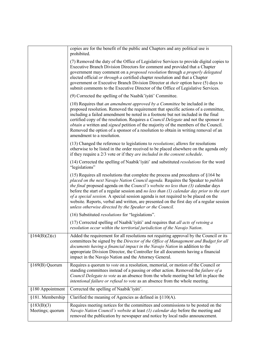|                                 | copies are for the benefit of the public and Chapters and any political use is<br>prohibited.                                                                                                                                                                                                                                                                                                                                                                                                                                                                                                               |
|---------------------------------|-------------------------------------------------------------------------------------------------------------------------------------------------------------------------------------------------------------------------------------------------------------------------------------------------------------------------------------------------------------------------------------------------------------------------------------------------------------------------------------------------------------------------------------------------------------------------------------------------------------|
|                                 | (7) Removed the duty of the Office of Legislative Services to provide digital copies to<br>Executive Branch Division Directors for comment and provided that a Chapter<br>government may comment on a proposed resolution through a properly delegated<br>elected official or through a certified chapter resolution and that a Chapter<br>government or Executive Branch Division Director at their option have (5) days to<br>submit comments to the Executive Director of the Office of Legislative Services.                                                                                            |
|                                 | (9) Corrected the spelling of the Naabik'iyáti' Committee.                                                                                                                                                                                                                                                                                                                                                                                                                                                                                                                                                  |
|                                 | $(10)$ Requires that an amendment approved by a Committee be included in the<br>proposed resolution. Removed the requirement that specific actions of a committee,<br>including a failed amendment be noted in a footnote but not included in the final<br>certified copy of the resolution. Requires a <i>Council Delegate</i> and not the sponsor to<br><i>obtain a written and signed petition of the majority of the members of the Council.</i><br>Removed the option of a sponsor of a resolution to obtain in writing removal of an<br>amendment to a resolution.                                    |
|                                 | (13) Changed the reference to legislations to <i>resolutions</i> ; allows for resolutions<br>otherwise to be listed in the order received to be placed elsewhere on the agenda only<br>if they require a 2/3 vote or if they are included in the consent schedule.                                                                                                                                                                                                                                                                                                                                          |
|                                 | (14) Corrected the spelling of Naabik'iyáti' and substituted resolutions for the word<br>"legislations"                                                                                                                                                                                                                                                                                                                                                                                                                                                                                                     |
|                                 | $(15)$ Requires all resolutions that complete the process and procedures of §164 be<br>placed on the next Navajo Nation Council agenda. Requires the Speaker to publish<br>the final proposed agenda on the Council's website no less than (3) calendar days<br>before the start of a regular session and no less than $(1)$ calendar day prior to the start<br>of a special session. A special session agenda is not required to be placed on the<br>website. Reports, verbal and written, are presented on the first day of a regular session<br>unless otherwise directed by the Speaker or the Council. |
|                                 | (16) Substituted <i>resolutions</i> for "legislations".                                                                                                                                                                                                                                                                                                                                                                                                                                                                                                                                                     |
|                                 | (17) Corrected spelling of Naabik'iyáti' and requires that all acts of vetoing a<br>resolution occur within the territorial jurisdiction of the Navajo Nation.                                                                                                                                                                                                                                                                                                                                                                                                                                              |
| \$164(B)(2)(c)                  | Added the requirement for all resolutions not requiring approval by the Council or its<br>committees be signed by the Director of the Office of Management and Budget for all<br>documents having a financial impact in the Navajo Nation in addition to the<br>appropriate Division Director, the Controller for all documents having a financial<br>impact in the Navajo Nation and the Attorney General.                                                                                                                                                                                                 |
| §169(B) Quorum                  | Requires a quorum to vote on a resolution, memorial, or motion of the Council or<br>standing committees instead of a passing or other action. Removed the <i>failure of a</i><br>Council Delegate to vote as an absence from the whole meeting but left in place the<br>intentional failure or refusal to vote as an absence from the whole meeting.                                                                                                                                                                                                                                                        |
| §180 Appointment                | Corrected the spelling of Naabik'iyáti'.                                                                                                                                                                                                                                                                                                                                                                                                                                                                                                                                                                    |
| §181. Membership                | Clarified the meaning of Agencies as defined in §110(A).                                                                                                                                                                                                                                                                                                                                                                                                                                                                                                                                                    |
| \$183(B)(3)<br>Meetings; quorum | Requires meeting notices for the committees and commissions to be posted on the<br>Navajo Nation Council's website at least (1) calendar day before the meeting and<br>removed the publication by newspaper and notice by local radio announcement.                                                                                                                                                                                                                                                                                                                                                         |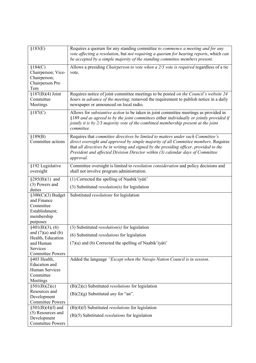| §183(E)                                                                                     | Requires a quorum for any standing committee to commence a meeting and for any<br>vote affecting a resolution, but not requiring a quorum for hearing reports, which can<br>be accepted by a simple majority of the standing committee members present.                                                                                                         |
|---------------------------------------------------------------------------------------------|-----------------------------------------------------------------------------------------------------------------------------------------------------------------------------------------------------------------------------------------------------------------------------------------------------------------------------------------------------------------|
| \$184(C)                                                                                    | Allows a presiding Chairperson to vote when a 2/3 vote is required regardless of a tie                                                                                                                                                                                                                                                                          |
| Chairperson; Vice-<br>Chairperson;<br>Chairperson Pro                                       | vote.                                                                                                                                                                                                                                                                                                                                                           |
| Tem                                                                                         |                                                                                                                                                                                                                                                                                                                                                                 |
| $$187(B)(4)$ Joint<br>Committee<br>Meetings                                                 | Requires notice of joint committee meetings to be posted on the Council's website 24<br>hours in advance of the meeting; removed the requirement to publish notice in a daily<br>newspaper or announced on local radio.                                                                                                                                         |
| \$187(C)                                                                                    | Allows for <i>substantive action</i> to be taken in joint committee meetings as provided in<br>§189 and as agreed to by the joint committees either individually or jointly provided if<br>jointly it is by 2/3 majority vote of the combined membership present at the joint<br>committee.                                                                     |
| \$189(B)<br>Committee actions                                                               | Requires that committee directives be limited to matters under such Committee's<br>direct oversight and approved by simple majority of all Committee members. Requires<br>that all directives be in writing and signed by the presiding officer, provided to the<br>President and affected Division Director within (3) calendar days of Committee<br>approval. |
| §192 Legislative<br>oversight                                                               | Committee oversight is limited to <i>resolution consideration</i> and policy decisions and<br>shall not involve program administration.                                                                                                                                                                                                                         |
| $\S285(B)(1)$ and                                                                           | (1) Corrected the spelling of Naabik'iyáti'                                                                                                                                                                                                                                                                                                                     |
| (3) Powers and<br>duties                                                                    | (3) Substituted <i>resolution(s)</i> for legislation                                                                                                                                                                                                                                                                                                            |
| $§300(C)(3)$ Budget<br>and Finance<br>Committee<br>Establishment;<br>membership<br>purposes | Substituted resolutions for legislation                                                                                                                                                                                                                                                                                                                         |
| §401(B)(3), (6)                                                                             | (3) Substituted <i>resolution(s)</i> for legislation                                                                                                                                                                                                                                                                                                            |
| and $(7)(a)$ and $(b)$                                                                      | (6) Substituted resolutions for legislation                                                                                                                                                                                                                                                                                                                     |
| Health, Education<br>and Human                                                              | (7)(a) and (b) Corrected the spelling of Naabik'iyáti'                                                                                                                                                                                                                                                                                                          |
| Services                                                                                    |                                                                                                                                                                                                                                                                                                                                                                 |
| <b>Committee Powers</b>                                                                     |                                                                                                                                                                                                                                                                                                                                                                 |
| §403 Health,<br>Education and<br>Human Services<br>Committee                                | Added the language "Except when the Navajo Nation Council is in session.                                                                                                                                                                                                                                                                                        |
| Meetings                                                                                    | $(B)(2)(c)$ Substituted <i>resolutions</i> for legislation                                                                                                                                                                                                                                                                                                      |
| §501(B)(2)(c)<br>Resources and                                                              |                                                                                                                                                                                                                                                                                                                                                                 |
| Development                                                                                 | $(B)(2)(g)$ Substituted <i>any</i> for "an".                                                                                                                                                                                                                                                                                                                    |
| <b>Committee Powers</b>                                                                     |                                                                                                                                                                                                                                                                                                                                                                 |
| $\S501(B)(4)(f)$ and                                                                        | $(B)(4)(f)$ Substituted <i>resolutions</i> for legislation                                                                                                                                                                                                                                                                                                      |
| (5) Resources and<br>Development<br><b>Committee Powers</b>                                 | $(B)(5)$ Substituted <i>resolutions</i> for legislation                                                                                                                                                                                                                                                                                                         |